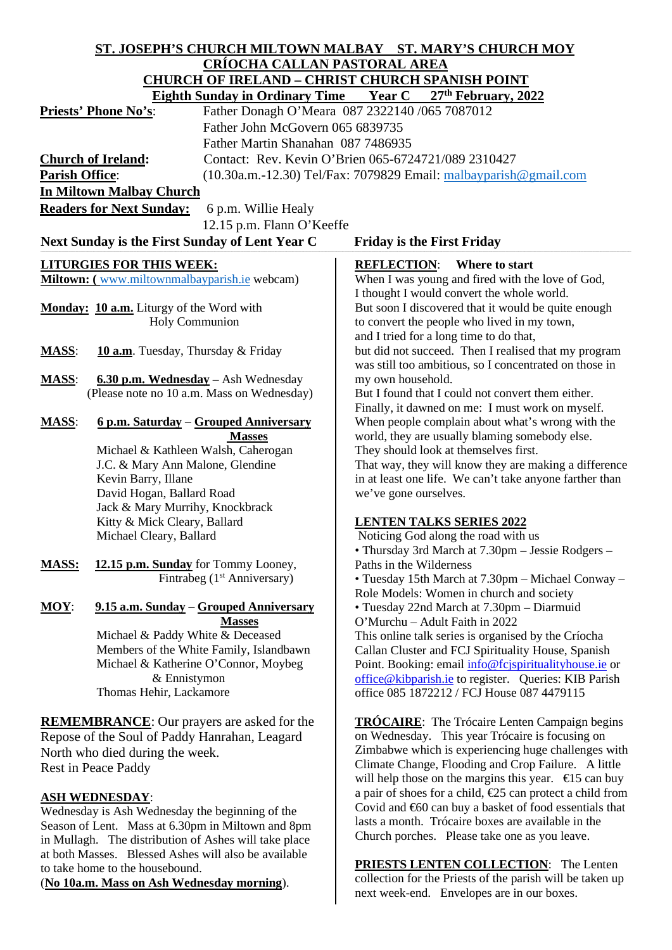| <b>CRÍOCHA CALLAN PASTORAL AREA</b><br><b>CHURCH OF IRELAND - CHRIST CHURCH SPANISH POINT</b><br>Eighth Sunday in Ordinary Time Year C 27th February, 2022<br>Father Donagh O'Meara 087 2322140 /065 7087012<br><b>Priests' Phone No's:</b><br>Father John McGovern 065 6839735<br>Father Martin Shanahan 087 7486935<br>Contact: Rev. Kevin O'Brien 065-6724721/089 2310427<br><b>Church of Ireland:</b><br><b>Parish Office:</b><br>(10.30a.m.-12.30) Tel/Fax: 7079829 Email: malbayparish@gmail.com<br><b>In Miltown Malbay Church</b><br><b>Readers for Next Sunday:</b><br>6 p.m. Willie Healy<br>12.15 p.m. Flann O'Keeffe<br>Next Sunday is the First Sunday of Lent Year C<br><b>Friday is the First Friday</b><br><b>LITURGIES FOR THIS WEEK:</b><br><b>REFLECTION:</b><br>Where to start |
|----------------------------------------------------------------------------------------------------------------------------------------------------------------------------------------------------------------------------------------------------------------------------------------------------------------------------------------------------------------------------------------------------------------------------------------------------------------------------------------------------------------------------------------------------------------------------------------------------------------------------------------------------------------------------------------------------------------------------------------------------------------------------------------------------|
|                                                                                                                                                                                                                                                                                                                                                                                                                                                                                                                                                                                                                                                                                                                                                                                                    |
|                                                                                                                                                                                                                                                                                                                                                                                                                                                                                                                                                                                                                                                                                                                                                                                                    |
|                                                                                                                                                                                                                                                                                                                                                                                                                                                                                                                                                                                                                                                                                                                                                                                                    |
|                                                                                                                                                                                                                                                                                                                                                                                                                                                                                                                                                                                                                                                                                                                                                                                                    |
|                                                                                                                                                                                                                                                                                                                                                                                                                                                                                                                                                                                                                                                                                                                                                                                                    |
|                                                                                                                                                                                                                                                                                                                                                                                                                                                                                                                                                                                                                                                                                                                                                                                                    |
|                                                                                                                                                                                                                                                                                                                                                                                                                                                                                                                                                                                                                                                                                                                                                                                                    |
|                                                                                                                                                                                                                                                                                                                                                                                                                                                                                                                                                                                                                                                                                                                                                                                                    |
|                                                                                                                                                                                                                                                                                                                                                                                                                                                                                                                                                                                                                                                                                                                                                                                                    |
|                                                                                                                                                                                                                                                                                                                                                                                                                                                                                                                                                                                                                                                                                                                                                                                                    |
|                                                                                                                                                                                                                                                                                                                                                                                                                                                                                                                                                                                                                                                                                                                                                                                                    |
|                                                                                                                                                                                                                                                                                                                                                                                                                                                                                                                                                                                                                                                                                                                                                                                                    |
|                                                                                                                                                                                                                                                                                                                                                                                                                                                                                                                                                                                                                                                                                                                                                                                                    |
|                                                                                                                                                                                                                                                                                                                                                                                                                                                                                                                                                                                                                                                                                                                                                                                                    |
| Miltown: (www.miltownmalbayparish.ie webcam)<br>When I was young and fired with the love of God,                                                                                                                                                                                                                                                                                                                                                                                                                                                                                                                                                                                                                                                                                                   |
| I thought I would convert the whole world.                                                                                                                                                                                                                                                                                                                                                                                                                                                                                                                                                                                                                                                                                                                                                         |
| Monday: 10 a.m. Liturgy of the Word with<br>But soon I discovered that it would be quite enough                                                                                                                                                                                                                                                                                                                                                                                                                                                                                                                                                                                                                                                                                                    |
| <b>Holy Communion</b><br>to convert the people who lived in my town,                                                                                                                                                                                                                                                                                                                                                                                                                                                                                                                                                                                                                                                                                                                               |
| and I tried for a long time to do that,                                                                                                                                                                                                                                                                                                                                                                                                                                                                                                                                                                                                                                                                                                                                                            |
| but did not succeed. Then I realised that my program<br>10 a.m. Tuesday, Thursday & Friday<br><b>MASS:</b>                                                                                                                                                                                                                                                                                                                                                                                                                                                                                                                                                                                                                                                                                         |
| was still too ambitious, so I concentrated on those in                                                                                                                                                                                                                                                                                                                                                                                                                                                                                                                                                                                                                                                                                                                                             |
| <b>MASS:</b><br>6.30 p.m. Wednesday - Ash Wednesday<br>my own household.                                                                                                                                                                                                                                                                                                                                                                                                                                                                                                                                                                                                                                                                                                                           |
| (Please note no 10 a.m. Mass on Wednesday)<br>But I found that I could not convert them either.                                                                                                                                                                                                                                                                                                                                                                                                                                                                                                                                                                                                                                                                                                    |
| Finally, it dawned on me: I must work on myself.                                                                                                                                                                                                                                                                                                                                                                                                                                                                                                                                                                                                                                                                                                                                                   |
| <u> 6 p.m. Saturday – Grouped Anniversary</u><br>When people complain about what's wrong with the<br><b>MASS:</b>                                                                                                                                                                                                                                                                                                                                                                                                                                                                                                                                                                                                                                                                                  |
| world, they are usually blaming somebody else.<br><b>Masses</b>                                                                                                                                                                                                                                                                                                                                                                                                                                                                                                                                                                                                                                                                                                                                    |
| Michael & Kathleen Walsh, Caherogan<br>They should look at themselves first.                                                                                                                                                                                                                                                                                                                                                                                                                                                                                                                                                                                                                                                                                                                       |
| J.C. & Mary Ann Malone, Glendine<br>That way, they will know they are making a difference                                                                                                                                                                                                                                                                                                                                                                                                                                                                                                                                                                                                                                                                                                          |
| Kevin Barry, Illane<br>in at least one life. We can't take anyone farther than                                                                                                                                                                                                                                                                                                                                                                                                                                                                                                                                                                                                                                                                                                                     |
| David Hogan, Ballard Road<br>we've gone ourselves.                                                                                                                                                                                                                                                                                                                                                                                                                                                                                                                                                                                                                                                                                                                                                 |
| Jack & Mary Murrihy, Knockbrack                                                                                                                                                                                                                                                                                                                                                                                                                                                                                                                                                                                                                                                                                                                                                                    |
| Kitty & Mick Cleary, Ballard<br><b>LENTEN TALKS SERIES 2022</b>                                                                                                                                                                                                                                                                                                                                                                                                                                                                                                                                                                                                                                                                                                                                    |
| Michael Cleary, Ballard<br>Noticing God along the road with us                                                                                                                                                                                                                                                                                                                                                                                                                                                                                                                                                                                                                                                                                                                                     |
| • Thursday 3rd March at 7.30pm – Jessie Rodgers –                                                                                                                                                                                                                                                                                                                                                                                                                                                                                                                                                                                                                                                                                                                                                  |
| 12.15 p.m. Sunday for Tommy Looney,<br><b>MASS:</b><br>Paths in the Wilderness                                                                                                                                                                                                                                                                                                                                                                                                                                                                                                                                                                                                                                                                                                                     |
| Fintrabeg (1 <sup>st</sup> Anniversary)<br>• Tuesday 15th March at 7.30pm - Michael Conway -                                                                                                                                                                                                                                                                                                                                                                                                                                                                                                                                                                                                                                                                                                       |
| Role Models: Women in church and society                                                                                                                                                                                                                                                                                                                                                                                                                                                                                                                                                                                                                                                                                                                                                           |
| 9.15 a.m. Sunday - Grouped Anniversary<br>$MOY$ :<br>• Tuesday 22nd March at 7.30pm - Diarmuid                                                                                                                                                                                                                                                                                                                                                                                                                                                                                                                                                                                                                                                                                                     |
| <b>Masses</b><br>O'Murchu - Adult Faith in 2022<br>Michael & Paddy White & Deceased                                                                                                                                                                                                                                                                                                                                                                                                                                                                                                                                                                                                                                                                                                                |
| This online talk series is organised by the Críocha<br>Members of the White Family, Islandbawn<br>Callan Cluster and FCJ Spirituality House, Spanish                                                                                                                                                                                                                                                                                                                                                                                                                                                                                                                                                                                                                                               |
|                                                                                                                                                                                                                                                                                                                                                                                                                                                                                                                                                                                                                                                                                                                                                                                                    |
|                                                                                                                                                                                                                                                                                                                                                                                                                                                                                                                                                                                                                                                                                                                                                                                                    |
| Michael & Katherine O'Connor, Moybeg<br>Point. Booking: email info@fcjspiritualityhouse.ie or                                                                                                                                                                                                                                                                                                                                                                                                                                                                                                                                                                                                                                                                                                      |
| & Ennistymon<br>office@kibparish.ie to register. Queries: KIB Parish                                                                                                                                                                                                                                                                                                                                                                                                                                                                                                                                                                                                                                                                                                                               |
| Thomas Hehir, Lackamore<br>office 085 1872212 / FCJ House 087 4479115                                                                                                                                                                                                                                                                                                                                                                                                                                                                                                                                                                                                                                                                                                                              |
|                                                                                                                                                                                                                                                                                                                                                                                                                                                                                                                                                                                                                                                                                                                                                                                                    |
| <b>REMEMBRANCE:</b> Our prayers are asked for the<br><b>TRÓCAIRE:</b> The Trócaire Lenten Campaign begins                                                                                                                                                                                                                                                                                                                                                                                                                                                                                                                                                                                                                                                                                          |
| on Wednesday. This year Trócaire is focusing on<br>Repose of the Soul of Paddy Hanrahan, Leagard                                                                                                                                                                                                                                                                                                                                                                                                                                                                                                                                                                                                                                                                                                   |
| Zimbabwe which is experiencing huge challenges with<br>North who died during the week.                                                                                                                                                                                                                                                                                                                                                                                                                                                                                                                                                                                                                                                                                                             |
| Climate Change, Flooding and Crop Failure. A little<br><b>Rest in Peace Paddy</b>                                                                                                                                                                                                                                                                                                                                                                                                                                                                                                                                                                                                                                                                                                                  |
| will help those on the margins this year. $\epsilon$ 5 can buy                                                                                                                                                                                                                                                                                                                                                                                                                                                                                                                                                                                                                                                                                                                                     |
| a pair of shoes for a child, $E$ 5 can protect a child from<br><b>ASH WEDNESDAY:</b>                                                                                                                                                                                                                                                                                                                                                                                                                                                                                                                                                                                                                                                                                                               |
| Covid and $60$ can buy a basket of food essentials that<br>Wednesday is Ash Wednesday the beginning of the                                                                                                                                                                                                                                                                                                                                                                                                                                                                                                                                                                                                                                                                                         |
| lasts a month. Trócaire boxes are available in the<br>Season of Lent. Mass at 6.30pm in Miltown and 8pm<br>Church porches. Please take one as you leave.<br>in Mullagh. The distribution of Ashes will take place                                                                                                                                                                                                                                                                                                                                                                                                                                                                                                                                                                                  |

to take home to the housebound.

(**No 10a.m. Mass on Ash Wednesday morning**).

**PRIESTS LENTEN COLLECTION**: The Lenten collection for the Priests of the parish will be taken up next week-end. Envelopes are in our boxes.